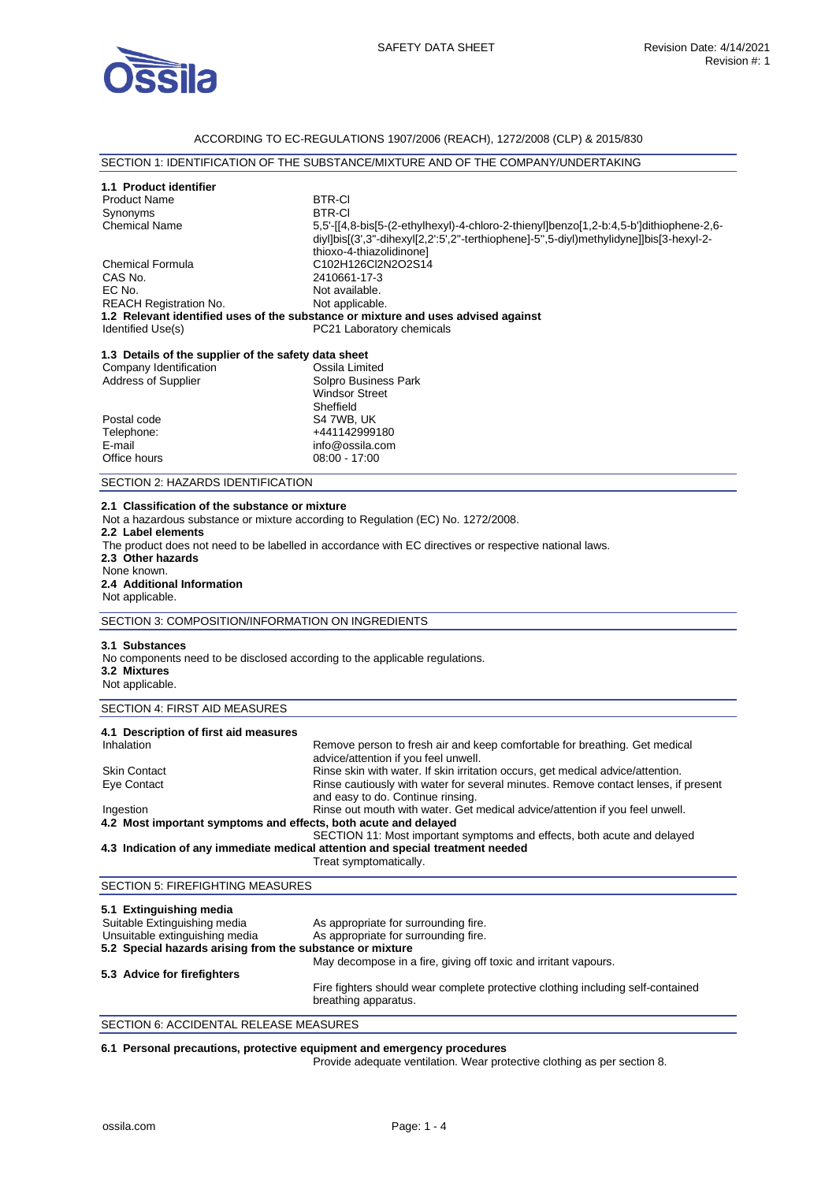

# ACCORDING TO EC-REGULATIONS 1907/2006 (REACH), 1272/2008 (CLP) & 2015/830

# SECTION 1: IDENTIFICATION OF THE SUBSTANCE/MIXTURE AND OF THE COMPANY/UNDERTAKING

| 1.1 Product identifier<br><b>Product Name</b><br>Synonyms<br><b>Chemical Name</b><br><b>Chemical Formula</b><br>CAS No.<br>EC No.<br><b>REACH Registration No.</b><br>Identified Use(s) | <b>BTR-CI</b><br><b>BTR-CI</b><br>5,5'-[[4,8-bis[5-(2-ethylhexyl)-4-chloro-2-thienyl]benzo[1,2-b:4,5-b']dithiophene-2,6-<br>diyl]bis[(3',3"-dihexyl[2,2':5',2"-terthiophene]-5",5-diyl)methylidyne]]bis[3-hexyl-2-<br>thioxo-4-thiazolidinone]<br>C102H126Cl2N2O2S14<br>2410661-17-3<br>Not available.<br>Not applicable.<br>1.2 Relevant identified uses of the substance or mixture and uses advised against<br>PC21 Laboratory chemicals |  |
|-----------------------------------------------------------------------------------------------------------------------------------------------------------------------------------------|---------------------------------------------------------------------------------------------------------------------------------------------------------------------------------------------------------------------------------------------------------------------------------------------------------------------------------------------------------------------------------------------------------------------------------------------|--|
| 1.3 Details of the supplier of the safety data sheet<br>Company Identification                                                                                                          | Ossila Limited                                                                                                                                                                                                                                                                                                                                                                                                                              |  |
| Address of Supplier                                                                                                                                                                     | Solpro Business Park<br><b>Windsor Street</b><br>Sheffield                                                                                                                                                                                                                                                                                                                                                                                  |  |
| Postal code<br>Telephone:                                                                                                                                                               | S4 7WB, UK<br>+441142999180                                                                                                                                                                                                                                                                                                                                                                                                                 |  |
| E-mail                                                                                                                                                                                  | info@ossila.com                                                                                                                                                                                                                                                                                                                                                                                                                             |  |
| Office hours                                                                                                                                                                            | $08:00 - 17:00$                                                                                                                                                                                                                                                                                                                                                                                                                             |  |
| SECTION 2: HAZARDS IDENTIFICATION                                                                                                                                                       |                                                                                                                                                                                                                                                                                                                                                                                                                                             |  |
| 2.1 Classification of the substance or mixture<br>2.2 Label elements<br>2.3 Other hazards<br>None known.<br>2.4 Additional Information<br>Not applicable.                               | Not a hazardous substance or mixture according to Regulation (EC) No. 1272/2008.<br>The product does not need to be labelled in accordance with EC directives or respective national laws.                                                                                                                                                                                                                                                  |  |
| SECTION 3: COMPOSITION/INFORMATION ON INGREDIENTS                                                                                                                                       |                                                                                                                                                                                                                                                                                                                                                                                                                                             |  |
| 3.1 Substances<br>No components need to be disclosed according to the applicable regulations.<br>3.2 Mixtures<br>Not applicable.                                                        |                                                                                                                                                                                                                                                                                                                                                                                                                                             |  |
| SECTION 4: FIRST AID MEASURES                                                                                                                                                           |                                                                                                                                                                                                                                                                                                                                                                                                                                             |  |
| 4.1 Description of first aid measures<br>Inhalation<br><b>Skin Contact</b>                                                                                                              | Remove person to fresh air and keep comfortable for breathing. Get medical<br>advice/attention if you feel unwell.<br>Rinse skin with water. If skin irritation occurs, get medical advice/attention.                                                                                                                                                                                                                                       |  |
| Eye Contact<br>Ingestion<br>4.2 Most important symptoms and effects, both acute and delayed                                                                                             | Rinse cautiously with water for several minutes. Remove contact lenses, if present<br>and easy to do. Continue rinsing.<br>Rinse out mouth with water. Get medical advice/attention if you feel unwell.                                                                                                                                                                                                                                     |  |
| SECTION 11: Most important symptoms and effects, both acute and delayed<br>4.3 Indication of any immediate medical attention and special treatment needed<br>Treat symptomatically.     |                                                                                                                                                                                                                                                                                                                                                                                                                                             |  |
| SECTION 5: FIREFIGHTING MEASURES                                                                                                                                                        |                                                                                                                                                                                                                                                                                                                                                                                                                                             |  |
| 5.1 Extinguishing media<br>Suitable Extinguishing media<br>Unsuitable extinguishing media<br>5.2 Special hazards arising from the substance or mixture                                  | As appropriate for surrounding fire.<br>As appropriate for surrounding fire.<br>May decompose in a fire, giving off toxic and irritant vapours.                                                                                                                                                                                                                                                                                             |  |
| 5.3 Advice for firefighters                                                                                                                                                             | Fire fighters should wear complete protective clothing including self-contained<br>breathing apparatus.                                                                                                                                                                                                                                                                                                                                     |  |

SECTION 6: ACCIDENTAL RELEASE MEASURES

#### **6.1 Personal precautions, protective equipment and emergency procedures**

Provide adequate ventilation. Wear protective clothing as per section 8.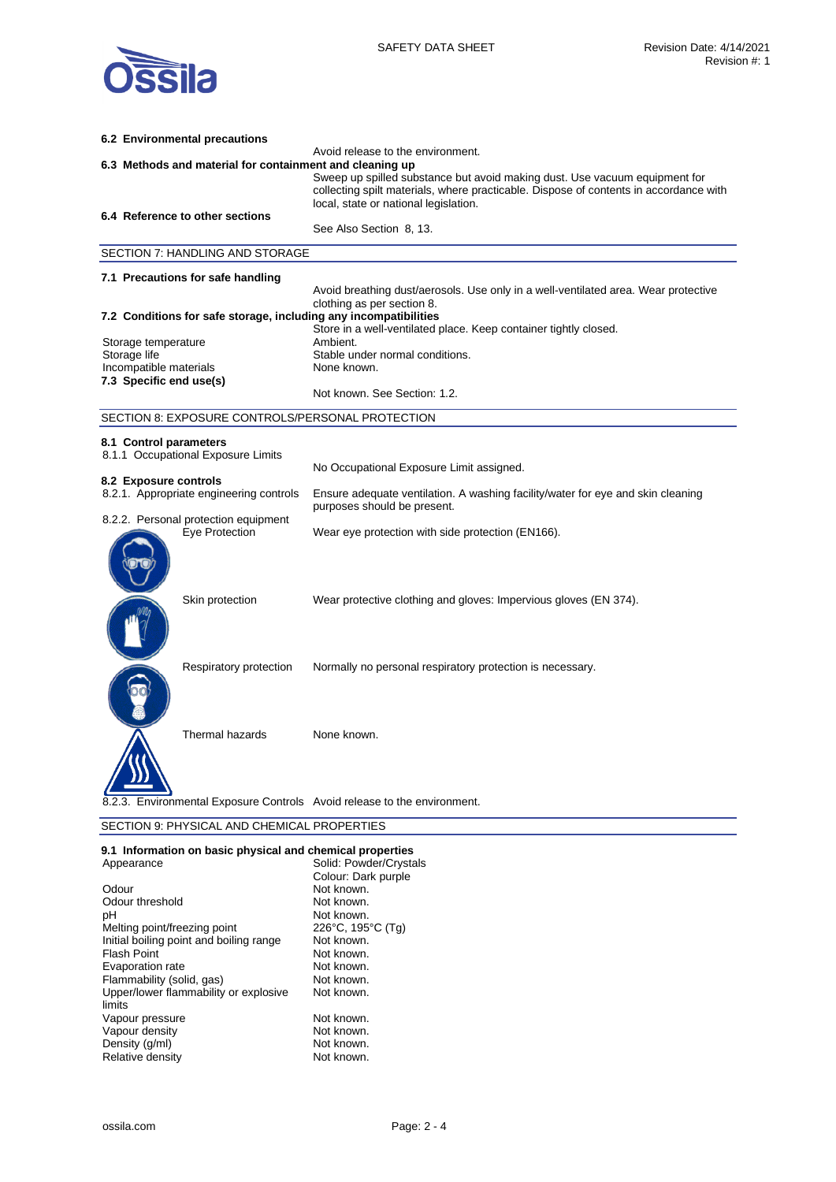

| 6.2 Environmental precautions                                                                 |                                                                                                                                                                                                              |  |
|-----------------------------------------------------------------------------------------------|--------------------------------------------------------------------------------------------------------------------------------------------------------------------------------------------------------------|--|
| Avoid release to the environment.<br>6.3 Methods and material for containment and cleaning up |                                                                                                                                                                                                              |  |
|                                                                                               | Sweep up spilled substance but avoid making dust. Use vacuum equipment for<br>collecting spilt materials, where practicable. Dispose of contents in accordance with<br>local, state or national legislation. |  |
| 6.4 Reference to other sections                                                               | See Also Section 8, 13.                                                                                                                                                                                      |  |
|                                                                                               |                                                                                                                                                                                                              |  |
| SECTION 7: HANDLING AND STORAGE                                                               |                                                                                                                                                                                                              |  |
| 7.1 Precautions for safe handling                                                             |                                                                                                                                                                                                              |  |
|                                                                                               | Avoid breathing dust/aerosols. Use only in a well-ventilated area. Wear protective<br>clothing as per section 8.                                                                                             |  |
| 7.2 Conditions for safe storage, including any incompatibilities                              |                                                                                                                                                                                                              |  |
| Storage temperature                                                                           | Store in a well-ventilated place. Keep container tightly closed.<br>Ambient.                                                                                                                                 |  |
| Storage life                                                                                  | Stable under normal conditions.                                                                                                                                                                              |  |
| Incompatible materials<br>7.3 Specific end use(s)                                             | None known.                                                                                                                                                                                                  |  |
|                                                                                               | Not known. See Section: 1.2.                                                                                                                                                                                 |  |
| SECTION 8: EXPOSURE CONTROLS/PERSONAL PROTECTION                                              |                                                                                                                                                                                                              |  |
| 8.1 Control parameters                                                                        |                                                                                                                                                                                                              |  |
| 8.1.1 Occupational Exposure Limits                                                            |                                                                                                                                                                                                              |  |
| 8.2 Exposure controls                                                                         | No Occupational Exposure Limit assigned.                                                                                                                                                                     |  |
| 8.2.1. Appropriate engineering controls                                                       | Ensure adequate ventilation. A washing facility/water for eye and skin cleaning<br>purposes should be present.                                                                                               |  |
| 8.2.2. Personal protection equipment<br>Eye Protection                                        | Wear eye protection with side protection (EN166).                                                                                                                                                            |  |
| Skin protection                                                                               | Wear protective clothing and gloves: Impervious gloves (EN 374).                                                                                                                                             |  |
| Respiratory protection                                                                        | Normally no personal respiratory protection is necessary.                                                                                                                                                    |  |
| Thermal hazards                                                                               | None known.                                                                                                                                                                                                  |  |
|                                                                                               | Environmental Exposure Controls Avoid release to the environment.                                                                                                                                            |  |
| SECTION 9: PHYSICAL AND CHEMICAL PROPERTIES                                                   |                                                                                                                                                                                                              |  |

### **9.1 Information on basic physical and chemical properties**

| Appearance                              | Solid: Powder/Crystals |  |
|-----------------------------------------|------------------------|--|
|                                         | Colour: Dark purple    |  |
| Odour                                   | Not known.             |  |
| Odour threshold                         | Not known.             |  |
| рH                                      | Not known.             |  |
| Melting point/freezing point            | 226°C, 195°C (Tq)      |  |
| Initial boiling point and boiling range | Not known.             |  |
| Flash Point                             | Not known.             |  |
| Evaporation rate                        | Not known.             |  |
| Flammability (solid, gas)               | Not known.             |  |
| Upper/lower flammability or explosive   | Not known.             |  |
| limits                                  |                        |  |
| Vapour pressure                         | Not known.             |  |
| Vapour density                          | Not known.             |  |
| Density (g/ml)                          | Not known.             |  |
| Relative density                        | Not known.             |  |
|                                         |                        |  |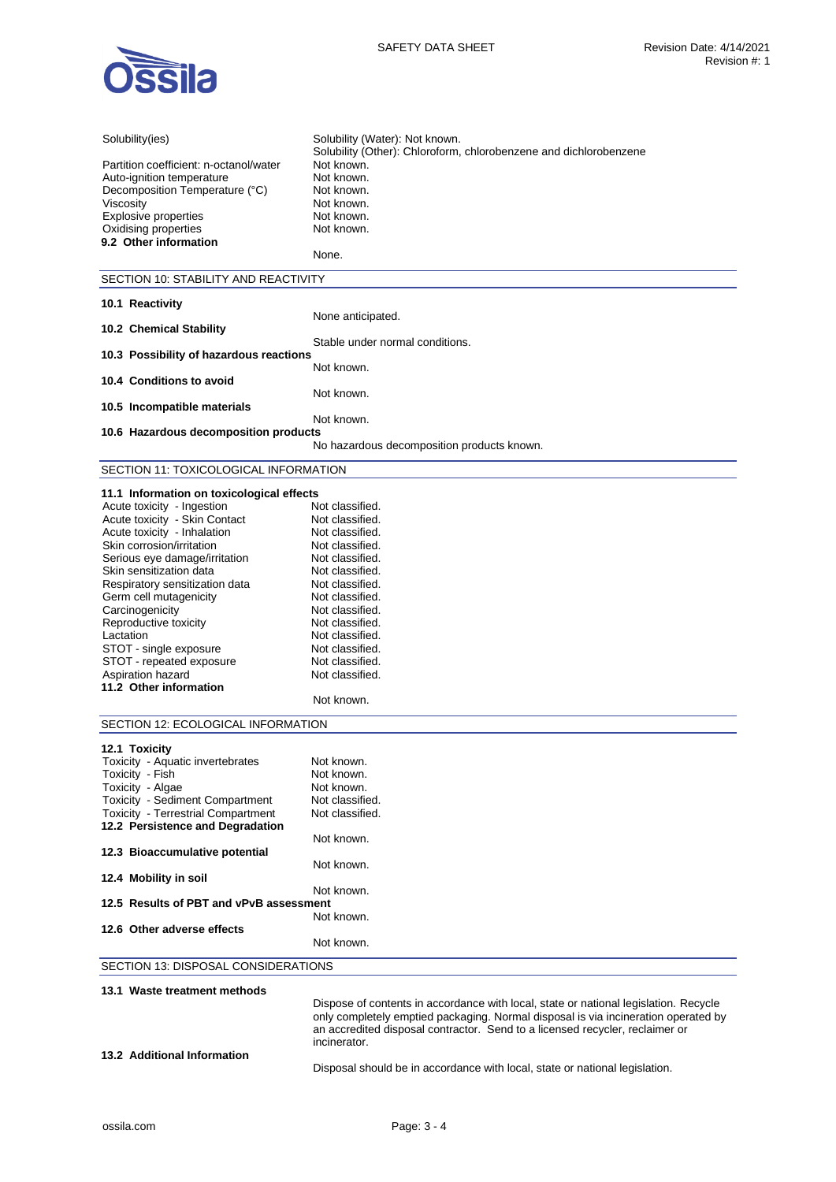

| Solubility(ies)                                                               | Solubility (Water): Not known.                                                                                                                                     |
|-------------------------------------------------------------------------------|--------------------------------------------------------------------------------------------------------------------------------------------------------------------|
|                                                                               | Solubility (Other): Chloroform, chlorobenzene and dichlorobenzene                                                                                                  |
| Partition coefficient: n-octanol/water                                        | Not known.<br>Not known.                                                                                                                                           |
| Auto-ignition temperature<br>Decomposition Temperature (°C)                   | Not known.                                                                                                                                                         |
| Viscositv                                                                     | Not known.                                                                                                                                                         |
| Explosive properties                                                          | Not known.                                                                                                                                                         |
| Oxidising properties                                                          | Not known.                                                                                                                                                         |
| 9.2 Other information                                                         |                                                                                                                                                                    |
|                                                                               | None.                                                                                                                                                              |
| SECTION 10: STABILITY AND REACTIVITY                                          |                                                                                                                                                                    |
|                                                                               |                                                                                                                                                                    |
| 10.1 Reactivity                                                               |                                                                                                                                                                    |
| 10.2 Chemical Stability                                                       | None anticipated.                                                                                                                                                  |
|                                                                               | Stable under normal conditions.                                                                                                                                    |
| 10.3 Possibility of hazardous reactions                                       |                                                                                                                                                                    |
|                                                                               | Not known.                                                                                                                                                         |
| 10.4 Conditions to avoid                                                      |                                                                                                                                                                    |
| 10.5 Incompatible materials                                                   | Not known.                                                                                                                                                         |
|                                                                               | Not known.                                                                                                                                                         |
| 10.6 Hazardous decomposition products                                         |                                                                                                                                                                    |
|                                                                               | No hazardous decomposition products known.                                                                                                                         |
| SECTION 11: TOXICOLOGICAL INFORMATION                                         |                                                                                                                                                                    |
|                                                                               |                                                                                                                                                                    |
| 11.1 Information on toxicological effects                                     |                                                                                                                                                                    |
| Acute toxicity - Ingestion                                                    | Not classified.                                                                                                                                                    |
| Acute toxicity - Skin Contact<br>Acute toxicity - Inhalation                  | Not classified.<br>Not classified.                                                                                                                                 |
| Skin corrosion/irritation                                                     | Not classified.                                                                                                                                                    |
| Serious eye damage/irritation                                                 | Not classified.                                                                                                                                                    |
| Skin sensitization data                                                       | Not classified.                                                                                                                                                    |
| Respiratory sensitization data                                                | Not classified.                                                                                                                                                    |
| Germ cell mutagenicity                                                        | Not classified.                                                                                                                                                    |
| Carcinogenicity                                                               | Not classified.                                                                                                                                                    |
| Reproductive toxicity                                                         | Not classified.                                                                                                                                                    |
| Lactation                                                                     | Not classified.                                                                                                                                                    |
| STOT - single exposure                                                        | Not classified.                                                                                                                                                    |
| STOT - repeated exposure                                                      | Not classified.                                                                                                                                                    |
| Aspiration hazard<br>11.2 Other information                                   | Not classified.                                                                                                                                                    |
|                                                                               | Not known.                                                                                                                                                         |
|                                                                               |                                                                                                                                                                    |
| SECTION 12: ECOLOGICAL INFORMATION                                            |                                                                                                                                                                    |
| 12.1 Toxicity                                                                 |                                                                                                                                                                    |
| Toxicity - Aquatic invertebrates                                              | Not known.                                                                                                                                                         |
| Toxicity - Fish                                                               | Not known.                                                                                                                                                         |
| Toxicity - Algae                                                              | Not known.                                                                                                                                                         |
| <b>Toxicity - Sediment Compartment</b>                                        | Not classified.                                                                                                                                                    |
| <b>Toxicity - Terrestrial Compartment</b><br>12.2 Persistence and Degradation | Not classified.                                                                                                                                                    |
|                                                                               | Not known.                                                                                                                                                         |
| 12.3 Bioaccumulative potential                                                |                                                                                                                                                                    |
|                                                                               | Not known.                                                                                                                                                         |
| 12.4 Mobility in soil                                                         |                                                                                                                                                                    |
|                                                                               | Not known.                                                                                                                                                         |
| 12.5 Results of PBT and vPvB assessment                                       | Not known.                                                                                                                                                         |
| 12.6 Other adverse effects                                                    |                                                                                                                                                                    |
|                                                                               | Not known.                                                                                                                                                         |
| SECTION 13: DISPOSAL CONSIDERATIONS                                           |                                                                                                                                                                    |
|                                                                               |                                                                                                                                                                    |
| 13.1 Waste treatment methods                                                  |                                                                                                                                                                    |
|                                                                               | Dispose of contents in accordance with local, state or national legislation. Recycle                                                                               |
|                                                                               | only completely emptied packaging. Normal disposal is via incineration operated by<br>an accredited disposal contractor. Send to a licensed recycler, reclaimer or |
|                                                                               | incinerator.                                                                                                                                                       |

**13.2 Additional Information** 

Disposal should be in accordance with local, state or national legislation.